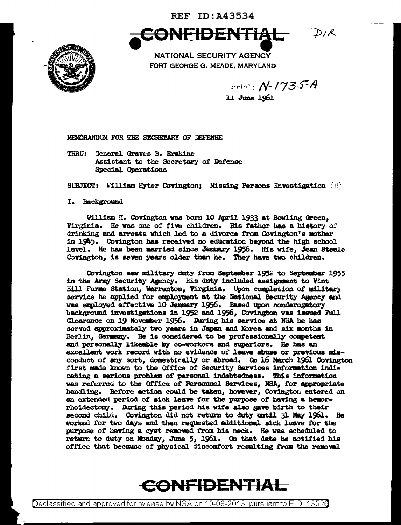**REF ID: A43534** 



CONFIDENTIAL PIR

NATIONAL SECURITY AGENCY FORT GEORGE G. MEADE, MARYLAND

 $T$ criol.:  $N$ -1735-A 11 June 1961

MEMORANDUM FOR THE SECRETARY OF DEFENSE

THRU: General Graves B. Erskine Assistant to the Secretary of Defense Special Operations

SUBJECT: William Hyter Covington; Missing Persons Investigation  $(1)$ 

I. Background

William H. Covington was born 10 April 1933 at Bowling Green, Virginia. He was one of five children. His father has a history of drinking and arrests which led to a divorce from Covington's mother in 1945. Covington has received no education beyond the high school level. He has been married since January 1956. His wife, Jean Steele Covington, is seven years older than he. They have two children.

Covington saw military duty from September 1952 to September 1955 in the Army Security Agency. His duty included assignment to Vint Hill Farms Station, Warrenton, Virginia. Upon completion of military service he applied for employment at the National Security Agency and was employed effective 10 January 1956. Based upon nonderogatory background investigations in 1952 and 1956, Covington was issued Full Clearance on 19 November 1956. During his service at NSA he has served approximately two years in Japan and Korea and six months in Berlin, Germany. He is considered to be professionally competent and personally likeable by co-workers and superiors. He has an excellent work record with no evidence of leave abuse or previous misconduct of any sort, domestically or abroad. On 16 March 1961 Covington first made known to the Office of Security Services information indicating a serious problem of personal indebtedness. This information was referred to the Office of Personnel Services, NSA, for appropriate handling. Before action could be taken, however, Covington entered on an extended period of sick leave for the purpose of having a hemorrhoidectomy. During this period his wife also gave birth to their second child. Covington did not return to duty until 31 May 1961. He worked for two days and then requested additional sick leave for the purpose of having a cyst removed from his neck. He was scheduled to return to duty on Monday, June 5, 1961. On that date he notified his office that because of physical discomfort resulting from the removal

CONFIDENTIAL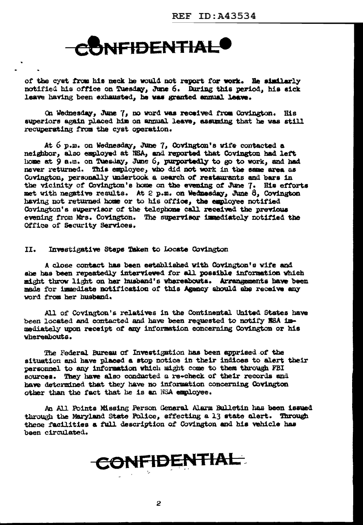

of the cyst from his neck he would not report for work. He similarly notified his office on Tuesday, June 6. During this period, his sick leave having been exhausted, he was granted annual leave.

On Wednesday, June 7, no word was received from Covington. His superiors again placed him on annual leave, assuming that he was still recuperating from tbe cyst operation.

At  $6$  p.m. on Wednesday, June 7, Covington's wife contacted a neighbor, also employed at NSA, and reported that Covington had left home at 9 a.m. on Tuesday, June 6, purportedly to go to work, and had never returned. This employee, who did not work in the same area as Covington, personally undertook a search of restaurants and bars in the vicinity of Covington's home on the evening of June 7. His efforts met with negative results. At 2 p.m. on Wedmesday, June 8, Covington having not returned home or to his office, the employee notified Covington's supervisor of the telephone call received the previous evening from Mrs. Covington. The supervisor immediately notified the Office of Security Services.

II. Investigative Steps Taken to Locate Covington

A close contact has been established with Covington's wife and she has been repeatedly interviewed for all possible information which might throw 11sht on her husband's whereabouts. Arrangements have been made for immediate notification of this Agency abould abe receive any word from her husband.

All of Covington's relatives in the Continental United States have been located and contacted and have been requested to notify ISA immediately upon receipt of any information concerning Covington or his vheresbouts.

The Federal Bureau of Investigation has been apprised of the situation and have placed a stop notice in their indices to alert their personnel to any information which might come to them through FBI sources. They have also conducted a re-check of their records and have determined that they have no information concerning Covington other than the fact that he is an NSA employee.

An All Points Missing Person General Alarm Bulletin has been issued through the Maryland State Police, effecting a 13 state alert. Through these facilities a full description of Covington and his vehicle has been circulated.

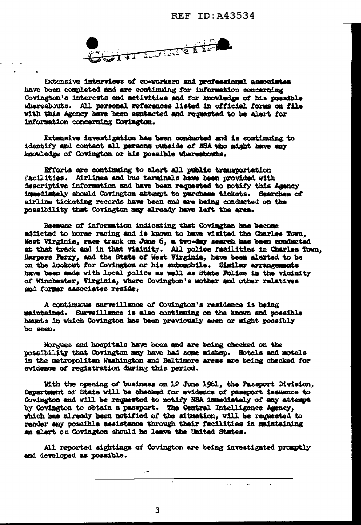

Extensive interviews of co-workers and professional associates have been completed and are continuing for information concerning Covington's interests and activities and for knowledge of his possible whereabouts. All personal references listed in official forms on file with this Agency have been contacted and requested to be alert for information concerning Covington.

Extensive investigation has been conducted and is continuing to identify and contact all persons outside of NSA who might have any knowledge of Covington or his possible whereshouts.

Efforts are continuing to alert all public transportation facilities. Airlines and bus terminals have been provided with descriptive information and have been requested to notify this Agency immediately should Covington attempt to purchase tickets. Searches of airline ticketing records have been and are being conducted on the possibility that Covington may already have laft the area.

Because of information indicating that Covington has become addicted to horse racing and is known to have visited the Charles Town. West Virginia, race track on June 6, a two-day search has been conducted at that track and in that visinity. All police facilities in Charles Town, Harpers Ferry, and the State of West Virginia, have been alerted to be on the lookout for Covington or his automobile. Similar arrangements have been made with local police as well as State Police in the vicinity of Winchester, Virginia, where Covington's mother and other relatives and former associates reside.

A continuous surveillance of Covington's residence is being maintained. Surveillance is also continuing on the known and possible hamts in which Covington has been previously seen or might possibly be seen.

Morgues and hospitals have been and are being checked on the possibility that Covington may have had some mishap. Hotels and motels In the metropolitan Washington and Baltimore areas are being checked for evidence of registration during this period.

With the opening of business on 12 June 1961, the Passport Division, Department of State will be checked for evidence of passport issuance to Covington and will be requested to notify NSA immediately of any attempt by Covington to obtain a passport. The Central Intelligence Agency, which has already been notified of the situation, will be requested to render any possible assistance through their facilities in maintaining an alert on Covington should he leave the United States.

All reported sightings of Covington are being investigated promptly and developed as possible.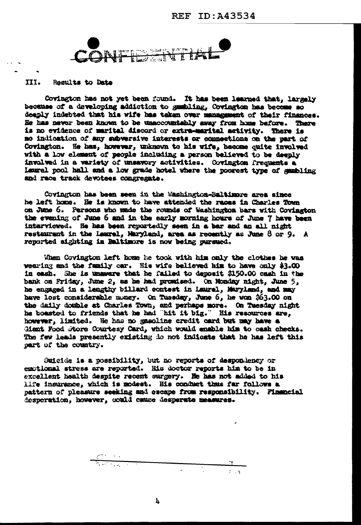

## III. Results to Date

Covington has not yet been found. It has been learned that, largely because of a developing addiction to gambling. Covington has become so deeply indebted that his wife has taken over management of their finances. He has never been known to be unaccountably away from home before. There is no evidence of marital discord or extra-marital activity. There is no indication of any subversive interests or connections on the part of Covington. He has, however, unknown to his wife, become quite involved with a low element of people including a person believed to be deeply involved in a variety of unsavory activities. Covington frequents a Laurel pool hall and a low grade hotel where the poorest type of sambling and race track devotees congregate.

Covington has been seen in the Washington-Baltimore area since he left home. He is known to have attended the races in Charles Town on June 6. Persons who made the rounds of Washington bars with Covington the evening of June 6 and in the early morning hours of June 7 have been interviewed. He has been reportedly seen in a bar and an all night resteurant in the Laurel, Maryland, area as recently as June 8 or 9. A reported sighting in Baltimore is now being pursued.

When Covington left home he took with him only the clothes he was wearing and the family car. His wife believed him to have only \$3.00 in each. She is unswere that he failed to deposit \$150.00 cash in the bank on Friday, June 2, as he had promised. On Monday night, June 5, he engaged in a lengthy billard contest in Laurel, Maryland, and may have lost considerable money. On Turaday, June 6, he won \$63.00 on the daily double at Charles Town, and perhaps more. On Tuesday night he boasted to friends that he had "hit it big." His resources are, however, limited. He has no gasoline credit card but may have a Giant Food Store Courtesy Card, which would enable him to cash checks. The few leads presently existing do not indicate that he has left this part of the country.

Suicide is a possibility, but no reports of despondency or emotional stress are reported. His doctor reports him to be in excellent health despite recent surgery. He has not added to his life insurance, which is modest. His conduct thus far follows a pattern of pleasure seeking and cacape from responsibility. Financial desperation, however, could cause desperate measures.